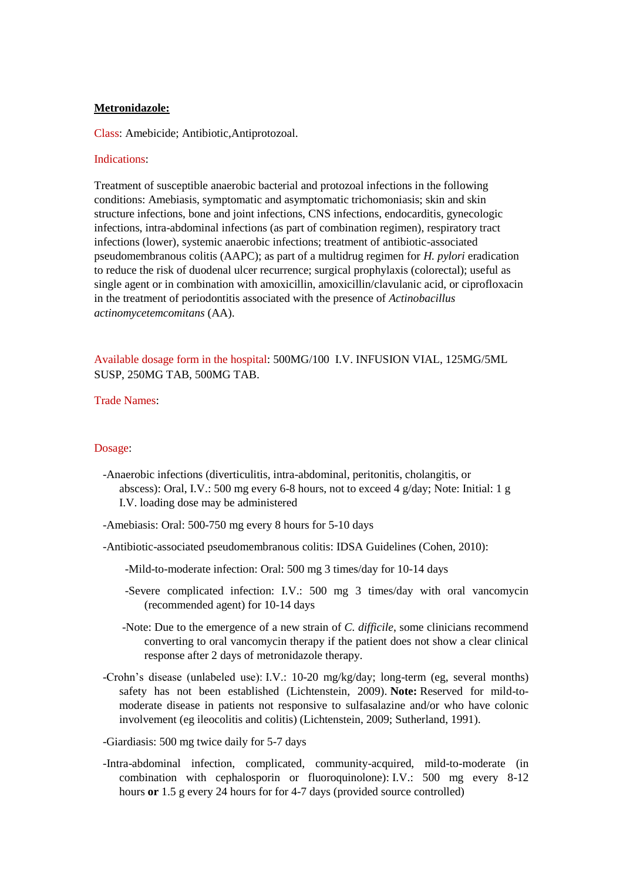# **Metronidazole:**

Class: Amebicide; Antibiotic,Antiprotozoal.

### Indications:

Treatment of susceptible anaerobic bacterial and protozoal infections in the following conditions: Amebiasis, symptomatic and asymptomatic trichomoniasis; skin and skin structure infections, bone and joint infections, CNS infections, endocarditis, gynecologic infections, intra-abdominal infections (as part of combination regimen), respiratory tract infections (lower), systemic anaerobic infections; treatment of antibiotic-associated pseudomembranous colitis (AAPC); as part of a multidrug regimen for *H. pylori* eradication to reduce the risk of duodenal ulcer recurrence; surgical prophylaxis (colorectal); useful as single agent or in combination with amoxicillin, amoxicillin/clavulanic acid, or ciprofloxacin in the treatment of periodontitis associated with the presence of *Actinobacillus actinomycetemcomitans* (AA).

Available dosage form in the hospital: 500MG/100 I.V. INFUSION VIAL, 125MG/5ML SUSP, 250MG TAB, 500MG TAB.

# Trade Names:

#### Dosage:

- -Anaerobic infections (diverticulitis, intra-abdominal, peritonitis, cholangitis, or abscess): Oral, I.V.: 500 mg every 6-8 hours, not to exceed 4 g/day; Note: Initial: 1 g I.V. loading dose may be administered
- -Amebiasis: Oral: 500-750 mg every 8 hours for 5-10 days
- -Antibiotic-associated pseudomembranous colitis: IDSA Guidelines (Cohen, 2010):
	- -Mild-to-moderate infection: Oral: 500 mg 3 times/day for 10-14 days
	- -Severe complicated infection: I.V.: 500 mg 3 times/day with oral vancomycin (recommended agent) for 10-14 days
	- -Note: Due to the emergence of a new strain of *C. difficile*, some clinicians recommend converting to oral vancomycin therapy if the patient does not show a clear clinical response after 2 days of metronidazole therapy.
- -Crohn's disease (unlabeled use): I.V.: 10-20 mg/kg/day; long-term (eg, several months) safety has not been established (Lichtenstein, 2009). **Note:** Reserved for mild-tomoderate disease in patients not responsive to sulfasalazine and/or who have colonic involvement (eg ileocolitis and colitis) (Lichtenstein, 2009; Sutherland, 1991).
- -Giardiasis: 500 mg twice daily for 5-7 days
- -Intra-abdominal infection, complicated, community-acquired, mild-to-moderate (in combination with cephalosporin or fluoroquinolone): I.V.: 500 mg every 8-12 hours **or** 1.5 g every 24 hours for for 4-7 days (provided source controlled)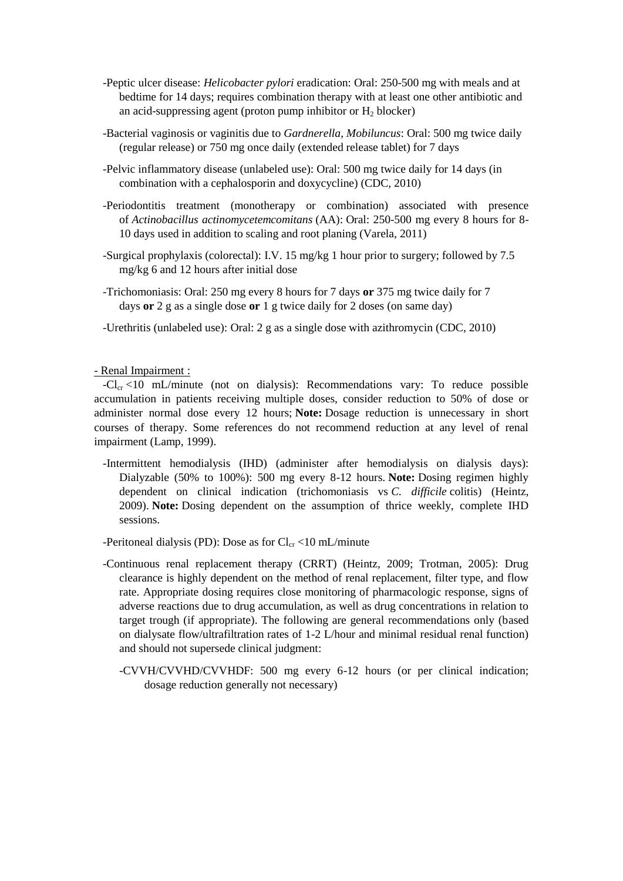- -Peptic ulcer disease: *Helicobacter pylori* eradication: Oral: 250-500 mg with meals and at bedtime for 14 days; requires combination therapy with at least one other antibiotic and an acid-suppressing agent (proton pump inhibitor or  $H_2$  blocker)
- -Bacterial vaginosis or vaginitis due to *Gardnerella*, *Mobiluncus*: Oral: 500 mg twice daily (regular release) or 750 mg once daily (extended release tablet) for 7 days
- -Pelvic inflammatory disease (unlabeled use): Oral: 500 mg twice daily for 14 days (in combination with a cephalosporin and doxycycline) (CDC, 2010)
- -Periodontitis treatment (monotherapy or combination) associated with presence of *Actinobacillus actinomycetemcomitans* (AA): Oral: 250-500 mg every 8 hours for 8- 10 days used in addition to scaling and root planing (Varela, 2011)
- -Surgical prophylaxis (colorectal): I.V. 15 mg/kg 1 hour prior to surgery; followed by 7.5 mg/kg 6 and 12 hours after initial dose
- -Trichomoniasis: Oral: 250 mg every 8 hours for 7 days **or** 375 mg twice daily for 7 days **or** 2 g as a single dose **or** 1 g twice daily for 2 doses (on same day)

-Urethritis (unlabeled use): Oral: 2 g as a single dose with azithromycin (CDC, 2010)

- Renal Impairment :

 $-CL_r < 10$  mL/minute (not on dialysis): Recommendations vary: To reduce possible accumulation in patients receiving multiple doses, consider reduction to 50% of dose or administer normal dose every 12 hours; **Note:** Dosage reduction is unnecessary in short courses of therapy. Some references do not recommend reduction at any level of renal impairment (Lamp, 1999).

 -Intermittent hemodialysis (IHD) (administer after hemodialysis on dialysis days): Dialyzable (50% to 100%): 500 mg every 8-12 hours. **Note:** Dosing regimen highly dependent on clinical indication (trichomoniasis vs *C. difficile* colitis) (Heintz, 2009). **Note:** Dosing dependent on the assumption of thrice weekly, complete IHD sessions.

-Peritoneal dialysis (PD): Dose as for  $Cl_{cr}$  <10 mL/minute

- -Continuous renal replacement therapy (CRRT) (Heintz, 2009; Trotman, 2005): Drug clearance is highly dependent on the method of renal replacement, filter type, and flow rate. Appropriate dosing requires close monitoring of pharmacologic response, signs of adverse reactions due to drug accumulation, as well as drug concentrations in relation to target trough (if appropriate). The following are general recommendations only (based on dialysate flow/ultrafiltration rates of 1-2 L/hour and minimal residual renal function) and should not supersede clinical judgment:
	- -CVVH/CVVHD/CVVHDF: 500 mg every 6-12 hours (or per clinical indication; dosage reduction generally not necessary)